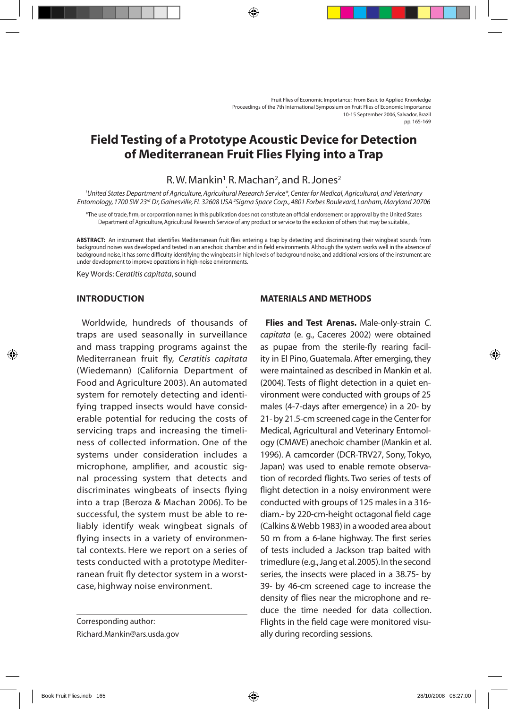# **Field Testing of a Prototype Acoustic Device for Detection of Mediterranean Fruit Flies Flying into a Trap**

## $R.W.$  Mankin<sup>1</sup> R. Machan<sup>2</sup>, and R. Jones<sup>2</sup>

, *1 United States Department of Agriculture, Agricultural Research Service\*, Center for Medical, Agricultural, and Veterinary Entomology, 1700 SW 23rd Dr, Gainesville, FL 32608 USA 2 Sigma Space Corp., 4801 Forbes Boulevard, Lanham, Maryland 20706* 

\*The use of trade, firm, or corporation names in this publication does not constitute an official endorsement or approval by the United States Department of Agriculture, Agricultural Research Service of any product or service to the exclusion of others that may be suitable.,

**Abstract:** An instrument that identifies Mediterranean fruit flies entering a trap by detecting and discriminating their wingbeat sounds from background noises was developed and tested in an anechoic chamber and in field environments. Although the system works well in the absence of background noise, it has some difficulty identifying the wingbeats in high levels of background noise, and additional versions of the instrument are under development to improve operations in high-noise environments.

Key Words: *Ceratitis capitata*, sound

### **Introduction**

Worldwide, hundreds of thousands of traps are used seasonally in surveillance and mass trapping programs against the Mediterranean fruit fly, *Ceratitis capitata* (Wiedemann) (California Department of Food and Agriculture 2003). An automated system for remotely detecting and identifying trapped insects would have considerable potential for reducing the costs of servicing traps and increasing the timeliness of collected information. One of the systems under consideration includes a microphone, amplifier, and acoustic signal processing system that detects and discriminates wingbeats of insects flying into a trap (Beroza & Machan 2006). To be successful, the system must be able to reliably identify weak wingbeat signals of flying insects in a variety of environmental contexts. Here we report on a series of tests conducted with a prototype Mediterranean fruit fly detector system in a worstcase, highway noise environment.

#### **Materials and Methods**

**Flies and Test Arenas.** Male-only-strain *C. capitata* (e. g., Caceres 2002) were obtained as pupae from the sterile-fly rearing facility in El Pino, Guatemala. After emerging, they were maintained as described in Mankin et al. (2004). Tests of flight detection in a quiet environment were conducted with groups of 25 males (4-7-days after emergence) in a 20- by 21- by 21.5-cm screened cage in the Center for Medical, Agricultural and Veterinary Entomology (CMAVE) anechoic chamber (Mankin et al. 1996). A camcorder (DCR-TRV27, Sony, Tokyo, Japan) was used to enable remote observation of recorded flights. Two series of tests of flight detection in a noisy environment were conducted with groups of 125 males in a 316 diam.- by 220-cm-height octagonal field cage (Calkins & Webb 1983) in a wooded area about 50 m from a 6-lane highway. The first series of tests included a Jackson trap baited with trimedlure (e.g., Jang et al. 2005). In the second series, the insects were placed in a 38.75- by 39- by 46-cm screened cage to increase the density of flies near the microphone and reduce the time needed for data collection. Flights in the field cage were monitored visually during recording sessions.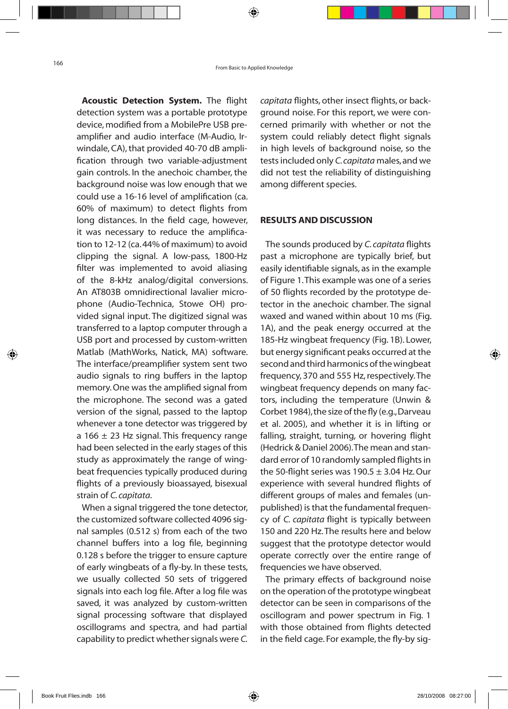**Acoustic Detection System.** The flight detection system was a portable prototype device, modified from a MobilePre USB preamplifier and audio interface (M-Audio, Irwindale, CA), that provided 40-70 dB amplification through two variable-adjustment gain controls. In the anechoic chamber, the background noise was low enough that we could use a 16-16 level of amplification (ca. 60% of maximum) to detect flights from long distances. In the field cage, however, it was necessary to reduce the amplification to 12-12 (ca. 44% of maximum) to avoid clipping the signal. A low-pass, 1800-Hz filter was implemented to avoid aliasing of the 8-kHz analog/digital conversions. An AT803B omnidirectional lavalier microphone (Audio-Technica, Stowe OH) provided signal input. The digitized signal was transferred to a laptop computer through a USB port and processed by custom-written Matlab (MathWorks, Natick, MA) software. The interface/preamplifier system sent two audio signals to ring buffers in the laptop memory. One was the amplified signal from the microphone. The second was a gated version of the signal, passed to the laptop whenever a tone detector was triggered by a 166  $\pm$  23 Hz signal. This frequency range had been selected in the early stages of this study as approximately the range of wingbeat frequencies typically produced during flights of a previously bioassayed, bisexual strain of *C. capitata*.

When a signal triggered the tone detector, the customized software collected 4096 signal samples (0.512 s) from each of the two channel buffers into a log file, beginning 0.128 s before the trigger to ensure capture of early wingbeats of a fly-by. In these tests, we usually collected 50 sets of triggered signals into each log file. After a log file was saved, it was analyzed by custom-written signal processing software that displayed oscillograms and spectra, and had partial capability to predict whether signals were *C.*  *capitata* flights, other insect flights, or background noise. For this report, we were concerned primarily with whether or not the system could reliably detect flight signals in high levels of background noise, so the tests included only *C. capitata* males, and we did not test the reliability of distinguishing among different species.

#### **Results and Discussion**

The sounds produced by *C. capitata* flights past a microphone are typically brief, but easily identifiable signals, as in the example of Figure 1. This example was one of a series of 50 flights recorded by the prototype detector in the anechoic chamber. The signal waxed and waned within about 10 ms (Fig. 1A), and the peak energy occurred at the 185-Hz wingbeat frequency (Fig. 1B). Lower, but energy significant peaks occurred at the second and third harmonics of the wingbeat frequency, 370 and 555 Hz, respectively. The wingbeat frequency depends on many factors, including the temperature (Unwin & Corbet 1984), the size of the fly (e.g., Darveau et al. 2005), and whether it is in lifting or falling, straight, turning, or hovering flight (Hedrick & Daniel 2006). The mean and standard error of 10 randomly sampled flights in the 50-flight series was  $190.5 \pm 3.04$  Hz. Our experience with several hundred flights of different groups of males and females (unpublished) is that the fundamental frequency of *C. capitata* flight is typically between 150 and 220 Hz. The results here and below suggest that the prototype detector would operate correctly over the entire range of frequencies we have observed.

The primary effects of background noise on the operation of the prototype wingbeat detector can be seen in comparisons of the oscillogram and power spectrum in Fig. 1 with those obtained from flights detected in the field cage. For example, the fly-by sig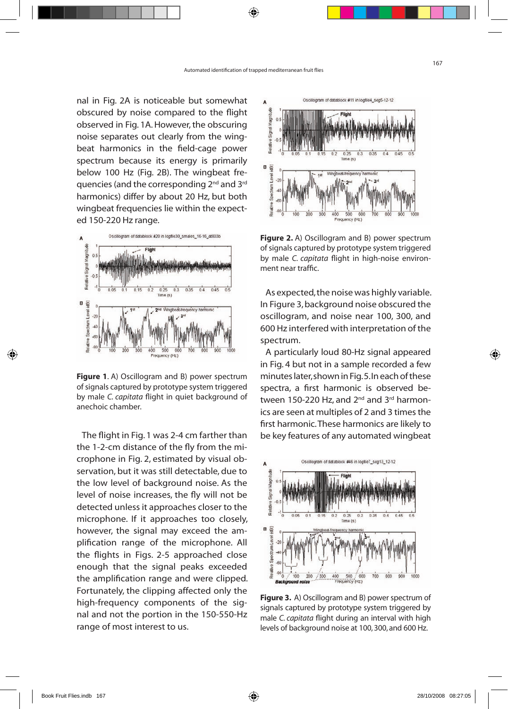nal in Fig. 2A is noticeable but somewhat obscured by noise compared to the flight observed in Fig. 1A. However, the obscuring noise separates out clearly from the wingbeat harmonics in the field-cage power spectrum because its energy is primarily below 100 Hz (Fig. 2B). The wingbeat frequencies (and the corresponding 2nd and 3rd harmonics) differ by about 20 Hz, but both wingbeat frequencies lie within the expected 150-220 Hz range.



**Figure 1**. A) Oscillogram and B) power spectrum of signals captured by prototype system triggered by male *C. capitata* flight in quiet background of anechoic chamber.

The flight in Fig. 1 was 2-4 cm farther than the 1-2-cm distance of the fly from the microphone in Fig. 2, estimated by visual observation, but it was still detectable, due to the low level of background noise. As the level of noise increases, the fly will not be detected unless it approaches closer to the microphone. If it approaches too closely, however, the signal may exceed the amplification range of the microphone. All the flights in Figs. 2-5 approached close enough that the signal peaks exceeded the amplification range and were clipped. Fortunately, the clipping affected only the high-frequency components of the signal and not the portion in the 150-550-Hz range of most interest to us.



**Figure 2.** A) Oscillogram and B) power spectrum of signals captured by prototype system triggered by male *C. capitata* flight in high-noise environment near traffic.

As expected, the noise was highly variable. In Figure 3, background noise obscured the oscillogram, and noise near 100, 300, and 600 Hz interfered with interpretation of the spectrum.

A particularly loud 80-Hz signal appeared in Fig. 4 but not in a sample recorded a few minutes later, shown in Fig. 5. In each of these spectra, a first harmonic is observed between 150-220 Hz, and  $2<sup>nd</sup>$  and  $3<sup>rd</sup>$  harmonics are seen at multiples of 2 and 3 times the first harmonic. These harmonics are likely to be key features of any automated wingbeat



**Figure 3.** A) Oscillogram and B) power spectrum of signals captured by prototype system triggered by male *C. capitata* flight during an interval with high levels of background noise at 100, 300, and 600 Hz.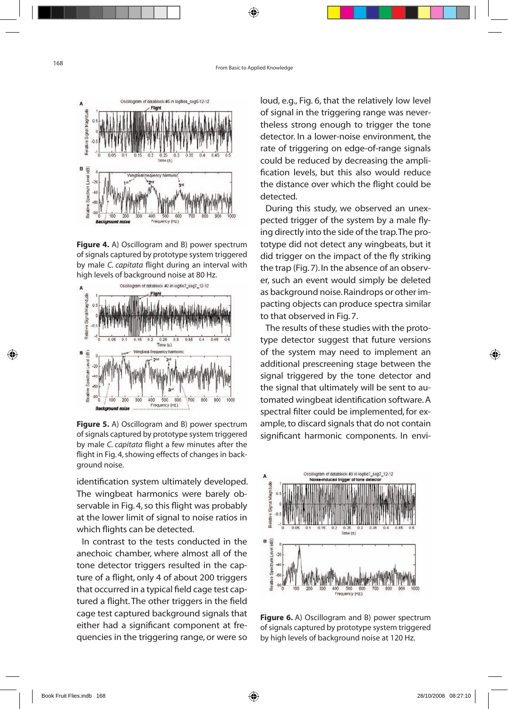

**Figure 4.** A) Oscillogram and B) power spectrum of signals captured by prototype system triggered by male *C. capitata* flight during an interval with high levels of background noise at 80 Hz.



**Figure 5.** A) Oscillogram and B) power spectrum of signals captured by prototype system triggered by male *C. capitata* flight a few minutes after the flight in Fig. 4, showing effects of changes in background noise.

identification system ultimately developed. The wingbeat harmonics were barely observable in Fig. 4, so this flight was probably at the lower limit of signal to noise ratios in which flights can be detected.

In contrast to the tests conducted in the anechoic chamber, where almost all of the tone detector triggers resulted in the capture of a flight, only 4 of about 200 triggers that occurred in a typical field cage test captured a flight. The other triggers in the field cage test captured background signals that either had a significant component at frequencies in the triggering range, or were so loud, e.g., Fig. 6, that the relatively low level of signal in the triggering range was nevertheless strong enough to trigger the tone detector. In a lower-noise environment, the rate of triggering on edge-of-range signals could be reduced by decreasing the amplification levels, but this also would reduce the distance over which the flight could be detected.

During this study, we observed an unexpected trigger of the system by a male flying directly into the side of the trap. The prototype did not detect any wingbeats, but it did trigger on the impact of the fly striking the trap (Fig. 7). In the absence of an observer, such an event would simply be deleted as background noise. Raindrops or other impacting objects can produce spectra similar to that observed in Fig. 7.

The results of these studies with the prototype detector suggest that future versions of the system may need to implement an additional prescreening stage between the signal triggered by the tone detector and the signal that ultimately will be sent to automated wingbeat identification software. A spectral filter could be implemented, for example, to discard signals that do not contain significant harmonic components. In envi-



**Figure 6.** A) Oscillogram and B) power spectrum of signals captured by prototype system triggered by high levels of background noise at 120 Hz.